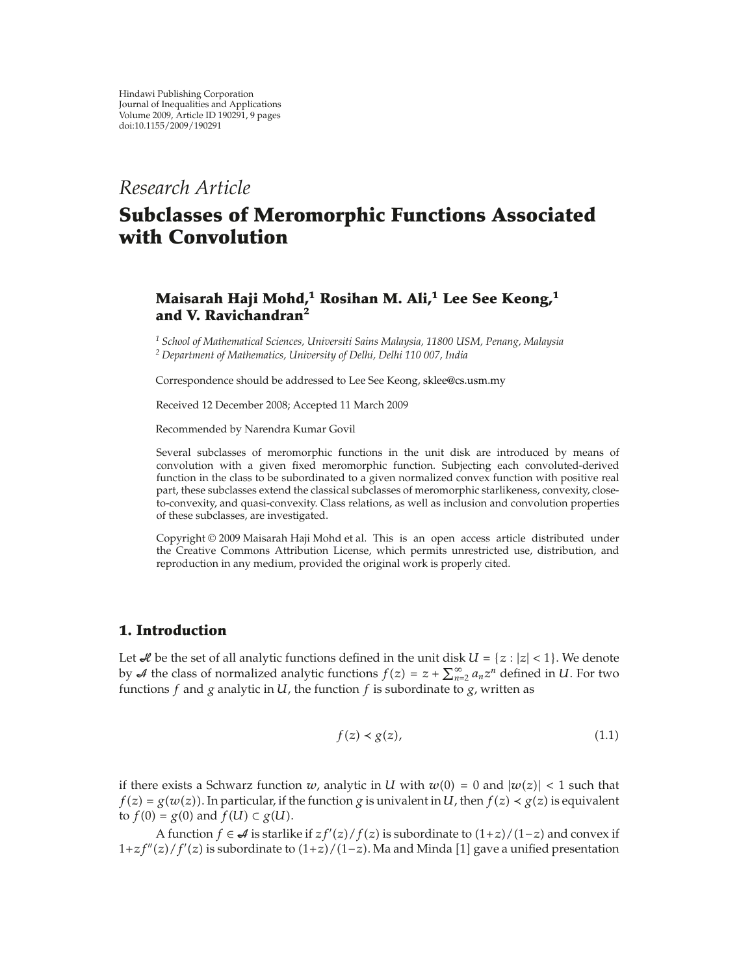# *Research Article*

# **Subclasses of Meromorphic Functions Associated with Convolution**

# **Maisarah Haji Mohd,1 Rosihan M. Ali,<sup>1</sup> Lee See Keong,<sup>1</sup> and V. Ravichandran<sup>2</sup>**

*<sup>1</sup> School of Mathematical Sciences, Universiti Sains Malaysia, 11800 USM, Penang, Malaysia <sup>2</sup> Department of Mathematics, University of Delhi, Delhi 110 007, India*

Correspondence should be addressed to Lee See Keong, sklee@cs.usm.my

Received 12 December 2008; Accepted 11 March 2009

Recommended by Narendra Kumar Govil

Several subclasses of meromorphic functions in the unit disk are introduced by means of convolution with a given fixed meromorphic function. Subjecting each convoluted-derived function in the class to be subordinated to a given normalized convex function with positive real part, these subclasses extend the classical subclasses of meromorphic starlikeness, convexity, closeto-convexity, and quasi-convexity. Class relations, as well as inclusion and convolution properties of these subclasses, are investigated.

Copyright © 2009 Maisarah Haji Mohd et al. This is an open access article distributed under the Creative Commons Attribution License, which permits unrestricted use, distribution, and reproduction in any medium, provided the original work is properly cited.

## **1. Introduction**

Let  $\mathcal A$  be the set of all analytic functions defined in the unit disk  $U = \{z : |z| < 1\}$ . We denote by  $\mathcal A$  the class of normalized analytic functions  $f(z) = z + \sum_{n=2}^{\infty} a_n z^n$  defined in *U*. For two functions f and a analytic in *U* the function f is subordinate to  $\alpha$  written as  $n =$ <br> $n =$ functions *f* and *g* analytic in *U*, the function *f* is subordinate to *g*, written as

$$
f(z) < g(z),\tag{1.1}
$$

if there exists a Schwarz function *w*, analytic in *U* with  $w(0) = 0$  and  $|w(z)| < 1$  such that  $f(z) = g(u(z))$ . In particular if the function *a* is univalent in *U* then  $f(z) \leq g(z)$  is equivalent  $f(z) = g(w(z))$ . In particular, if the function *g* is univalent in *U*, then  $f(z) \prec g(z)$  is equivalent to  $f(0) = g(0)$  and  $f(1) \subseteq g(1)$ . to  $f(0) = g(0)$  and  $f(U) \subset g(U)$ .

A function *f* ∈ *A* is starlike if  $zf'(z)/f(z)$  is subordinate to  $(1+z)/(1-z)$  and convex if  $z$  /  $f'(z)$  is subordinate to  $(1+z)/(1-z)$  Ma and Minda [1] gave a unified presentation 1*+zf"*(*z*)/*f'*(*z*) is subordinate to (1*+z*)/(1−*z*). Ma and Minda [1] gave a unified presentation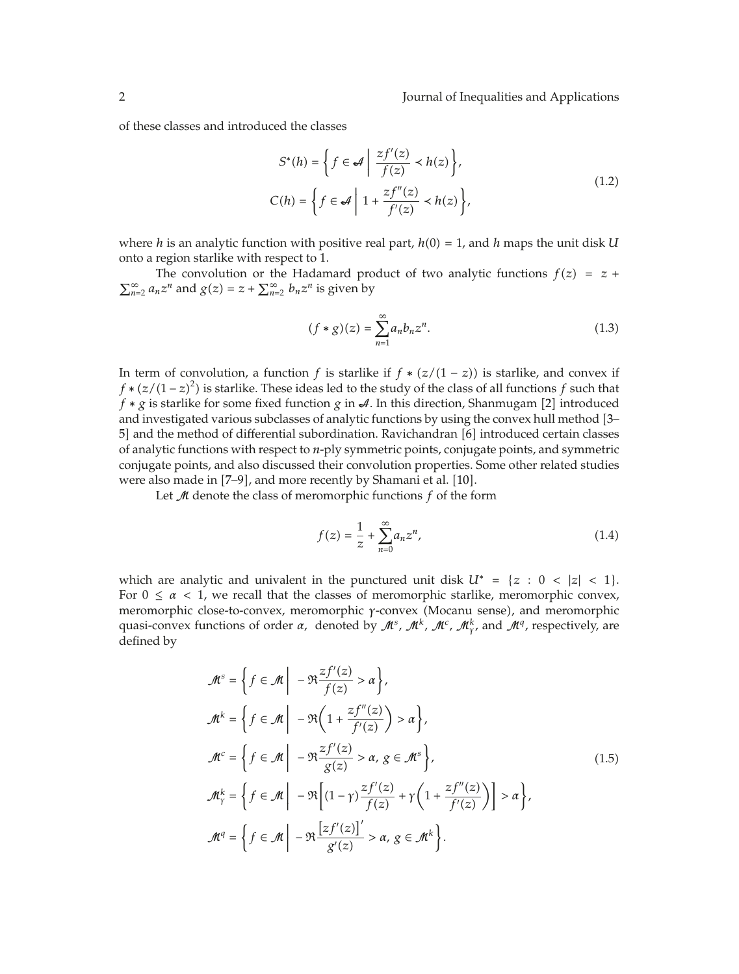of these classes and introduced the classes

$$
S^*(h) = \left\{ f \in \mathcal{A} \mid \frac{zf'(z)}{f(z)} < h(z) \right\},
$$
\n
$$
C(h) = \left\{ f \in \mathcal{A} \mid 1 + \frac{zf''(z)}{f'(z)} < h(z) \right\},
$$
\n
$$
(1.2)
$$

where *h* is an analytic function with positive real part,  $h(0) = 1$ , and *h* maps the unit disk *U* onto a region starlike with respect to 1 onto a region starlike with respect to 1.

The convolution or the Hadamard product of two analytic functions  $f(z) = z + z^n$  and  $g(z) = z + \nabla^{\infty} - h z^n$  is given by  $\sum_{n=2}^{\infty} a_n z^n$  and  $g(z) = z + \sum_{n=2}^{\infty} b_n z^n$  is given by

$$
(f * g)(z) = \sum_{n=1}^{\infty} a_n b_n z^n.
$$
 (1.3)

In term of convolution, a function *f* is starlike if  $f * (z/(1 - z))$  is starlike, and convex if  $f * (z/(1-z)^2)$  is starlike. These ideas led to the study of the class of all functions *f* such that  $f * a$  is starlike for some fixed function  $a$  in A. In this direction, Shannua [2] introduced *f* ∗ *g* is starlike for some fixed function *g* in  $\mathcal{A}$ . In this direction, Shanmugam [2] introduced and investigated various subclasses of analytic functions by using the convex hull method 3– 5] and the method of differential subordination. Ravichandran [6] introduced certain classes of analytic functions with respect to *n*-ply symmetric points, conjugate points, and symmetric conjugate points, and also discussed their convolution properties. Some other related studies were also made in [7-9], and more recently by Shamani et al. [10].

Let <sup>M</sup> denote the class of meromorphic functions *f* of the form

$$
f(z) = \frac{1}{z} + \sum_{n=0}^{\infty} a_n z^n,
$$
\n(1.4)

which are analytic and univalent in the punctured unit disk  $U^* = \{z : 0 < |z| < 1\}$ .<br>For  $0 \le \alpha \le 1$ , we recall that the classes of moromorphic starlike moromorphic convex For  $0 \le \alpha < 1$ , we recall that the classes of meromorphic starlike, meromorphic convex, meromorphic close-to-convex, meromorphic *γ*-convex (Mocanu sense), and meromorphic quasi-convex functions of order *α*, denoted by <sup>M</sup>*s*, <sup>M</sup>*k*, <sup>M</sup>*c*, <sup>M</sup>*<sup>k</sup> γ ,* and <sup>M</sup>*q,* respectively, are defined by

$$
\mathcal{M}^{s} = \left\{ f \in \mathcal{M} \middle| -\mathfrak{R} \frac{zf'(z)}{f(z)} > \alpha \right\},
$$
\n
$$
\mathcal{M}^{k} = \left\{ f \in \mathcal{M} \middle| -\mathfrak{R} \left( 1 + \frac{zf''(z)}{f'(z)} \right) > \alpha \right\},
$$
\n
$$
\mathcal{M}^{c} = \left\{ f \in \mathcal{M} \middle| -\mathfrak{R} \frac{zf'(z)}{g(z)} > \alpha, g \in \mathcal{M}^{s} \right\},
$$
\n
$$
\mathcal{M}_{\gamma}^{k} = \left\{ f \in \mathcal{M} \middle| -\mathfrak{R} \left[ (1 - \gamma) \frac{zf'(z)}{f(z)} + \gamma \left( 1 + \frac{zf''(z)}{f'(z)} \right) \right] > \alpha \right\},
$$
\n
$$
\mathcal{M}^{q} = \left\{ f \in \mathcal{M} \middle| -\mathfrak{R} \frac{\left[ zf'(z)\right]'}{g'(z)} > \alpha, g \in \mathcal{M}^{k} \right\}.
$$
\n(1.5)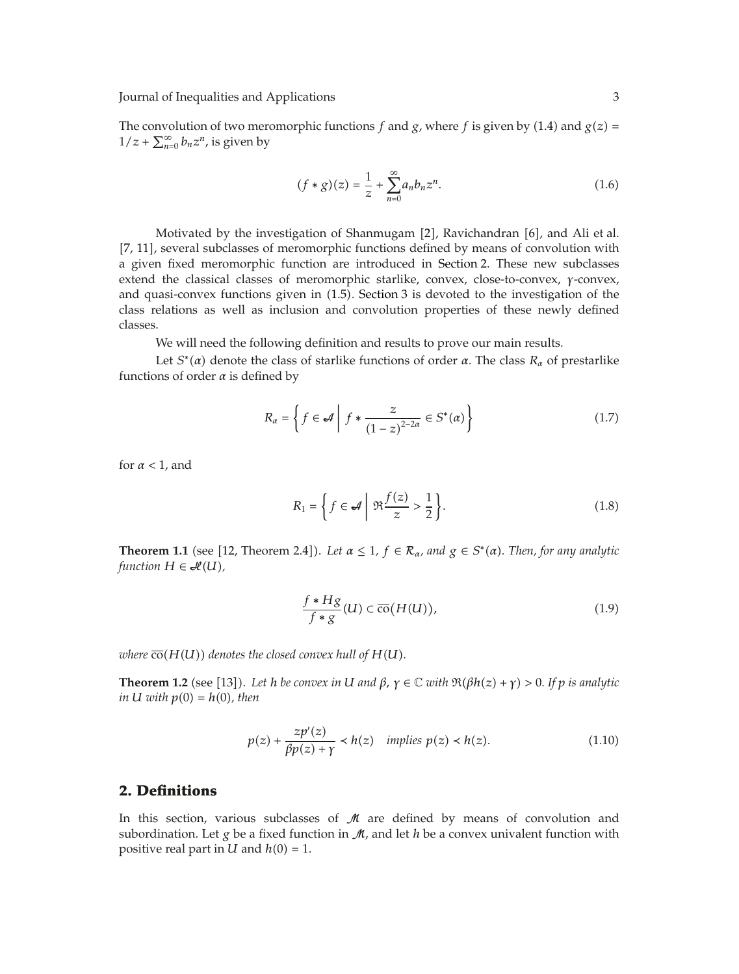The convolution of two meromorphic functions *f* and *g*, where *f* is given by (1.4) and  $g(z) = 1/z + \sum_{n=0}^{\infty} h^{-n}$  is given by  $1/z + \sum_{n=0}^{\infty} b_n z^n$ , is given by

$$
(f * g)(z) = \frac{1}{z} + \sum_{n=0}^{\infty} a_n b_n z^n.
$$
 (1.6)

Motivated by the investigation of Shanmugam  $[2]$ , Ravichandran  $[6]$ , and Ali et al. 7, 11, several subclasses of meromorphic functions defined by means of convolution with a given fixed meromorphic function are introduced in Section 2. These new subclasses extend the classical classes of meromorphic starlike, convex, close-to-convex, *γ*-convex, and quasi-convex functions given in 1.5. Section 3 is devoted to the investigation of the class relations as well as inclusion and convolution properties of these newly defined classes.

We will need the following definition and results to prove our main results.

Let  $S^*(\alpha)$  denote the class of starlike functions of order  $\alpha$ . The class  $R_\alpha$  of prestarlike functions of order  $\alpha$  is defined by

$$
R_{\alpha} = \left\{ f \in \mathcal{A} \mid f * \frac{z}{(1-z)^{2-2\alpha}} \in S^*(\alpha) \right\}
$$
 (1.7)

for *α <* 1, and

$$
R_1 = \left\{ f \in \mathcal{A} \mid \Re \frac{f(z)}{z} > \frac{1}{2} \right\}.
$$
 (1.8)

**Theorem 1.1** (see [12, Theorem 2.4]). Let  $\alpha \leq 1$ ,  $f \in \mathcal{R}_{\alpha}$ , and  $g \in S^*(\alpha)$ . Then, for any analytic *function*  $H \in \mathcal{H}(U)$ ,

$$
\frac{f * Hg}{f * g}(U) \subset \overline{\text{co}}(H(U)),\tag{1.9}
$$

*where*  $\overline{co}(H(U))$  *denotes the closed convex hull of*  $H(U)$ *.* 

**Theorem 1.2** (see [13]). Let *h be convex in U* and  $\beta$ ,  $\gamma \in \mathbb{C}$  *with*  $\Re(\beta h(z) + \gamma) > 0$ . If  $p$  *is analytic in*  $U$  *with*  $p(0) = h(0)$ *, then* 

$$
p(z) + \frac{zp'(z)}{\beta p(z) + \gamma} < h(z) \quad \text{implies } p(z) < h(z). \tag{1.10}
$$

### **2. Definitions**

In this section, various subclasses of  $M$  are defined by means of convolution and subordination. Let *g* be a fixed function in  $\mathcal{M}$ , and let *h* be a convex univalent function with positive real part in  $U$  and  $h(0) = 1$ .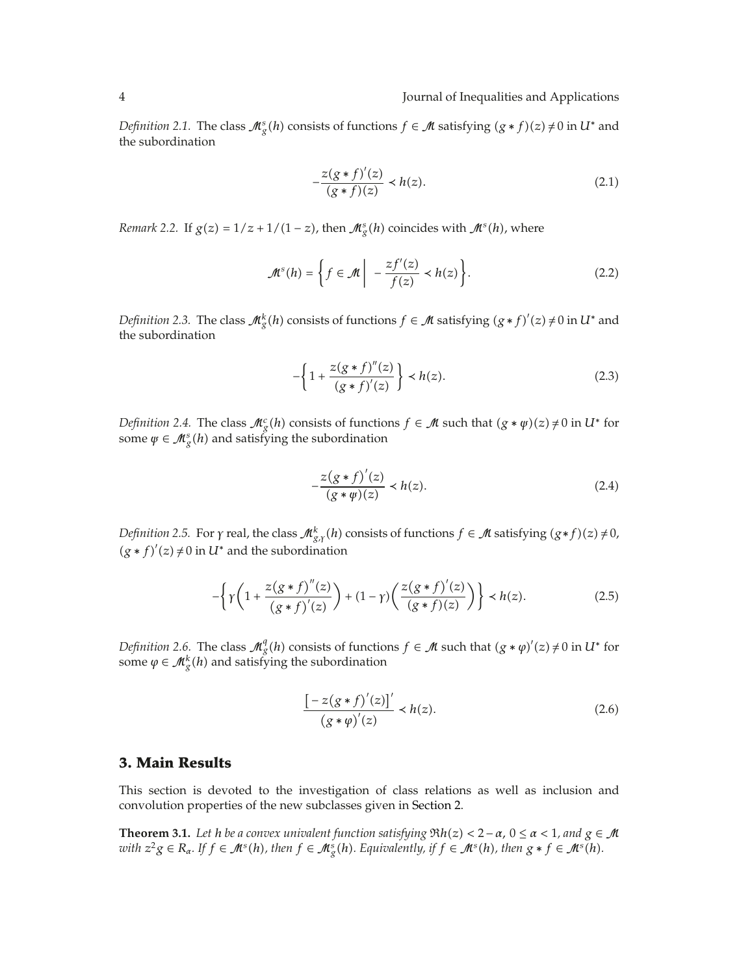*Definition 2.1.* The class  $\mathcal{M}_g^s(h)$  consists of functions  $f \in \mathcal{M}$  satisfying  $(g * f)(z) \neq 0$  in  $U^*$  and the subordination the subordination

$$
-\frac{z(g*f)'(z)}{(g*f)(z)} \prec h(z).
$$
 (2.1)

*Remark 2.2.* If  $g(z) = 1/z + 1/(1-z)$ , then  $\mathcal{M}_g^s(h)$  coincides with  $\mathcal{M}^s(h)$ , where

$$
\mathcal{M}^s(h) = \left\{ f \in \mathcal{M} \middle| \ -\frac{zf'(z)}{f(z)} < h(z) \right\}.\tag{2.2}
$$

*Definition 2.3.* The class  $\mathcal{M}_{g}^{k}(h)$  consists of functions  $f \in \mathcal{M}$  satisfying  $(g * f)'(z) \neq 0$  in  $U^*$  and the subordination the subordination

$$
-\left\{1+\frac{z(g*f)''(z)}{(g*f)'(z)}\right\} < h(z). \tag{2.3}
$$

*Definition 2.4.* The class  $\mathcal{M}_g^c(h)$  consists of functions  $f \in \mathcal{M}$  such that  $(g * \psi)(z) \neq 0$  in  $U^*$  for some  $u \in \mathcal{M}^s(h)$  and satisfying the subordination some  $\psi \in \mathcal{M}_{g}^{s}(h)$  and satisfying the subordination

$$
-\frac{z(g*f)'(z)}{(g*\psi)(z)} \prec h(z).
$$
 (2.4)

*Definition 2.5.* For *γ* real, the class  $\mathcal{M}_{g,r}^k(h)$  consists of functions  $f \in \mathcal{M}$  satisfying  $(g * f)(z) \neq 0$ ,  $(g * f)'(z) \neq 0$  in  $H^*$  and the subordination  $(g * f)'(z) \neq 0$  in  $U^*$  and the subordination

$$
-\left\{\gamma\left(1+\frac{z(g*f)''(z)}{(g*f)'(z)}\right)+(1-\gamma)\left(\frac{z(g*f)'(z)}{(g*f)(z)}\right)\right\} < h(z). \tag{2.5}
$$

*Definition 2.6.* The class  $\mathcal{M}_g^d(h)$  consists of functions  $f \in \mathcal{M}$  such that  $(g * \varphi)'(z) \neq 0$  in  $U^*$  for some  $\varphi \in \mathcal{M}^k(h)$  and satisfying the subordination some  $\varphi \in \mathcal{M}_g^k(h)$  and satisfying the subordination

$$
\frac{[-z(g * f)'(z)]'}{(g * \varphi)'(z)} \prec h(z).
$$
 (2.6)

#### **3. Main Results**

This section is devoted to the investigation of class relations as well as inclusion and convolution properties of the new subclasses given in Section 2.

**Theorem 3.1.** *Let h be a convex univalent function satisfying*  $\Re h(z) < 2 - \alpha$ ,  $0 \le \alpha < 1$ , and  $g \in M$ with  $z^2g \in R_{\alpha}$ . If  $f \in \mathcal{M}^s(h)$ , then  $f \in \mathcal{M}^s_g(h)$ . Equivalently, if  $f \in \mathcal{M}^s(h)$ , then  $g * f \in \mathcal{M}^s(h)$ .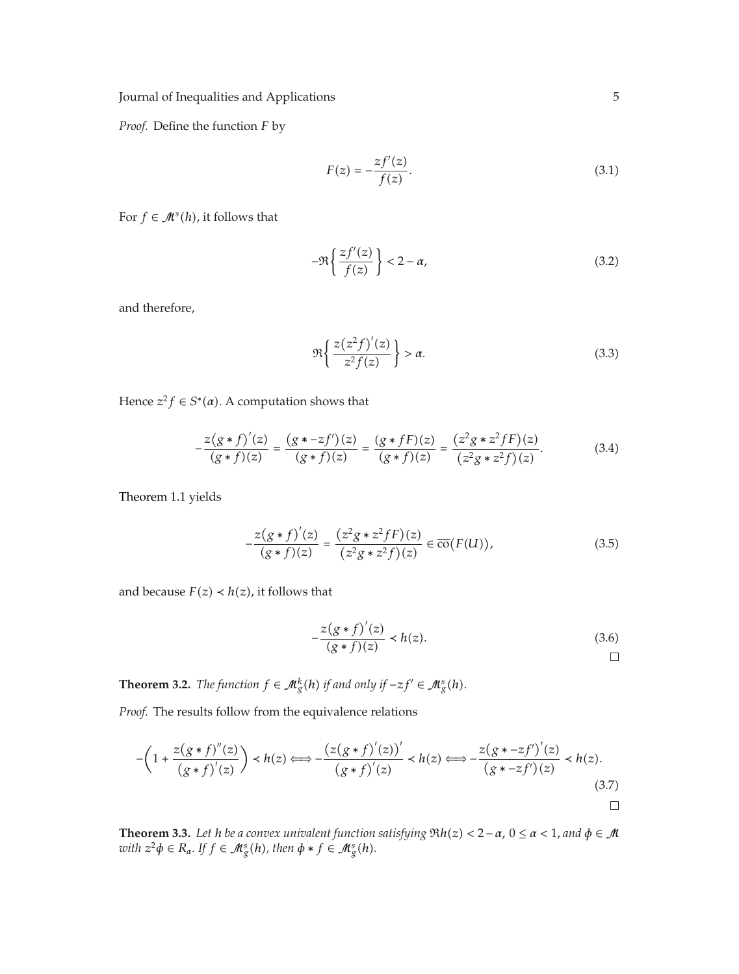*Proof.* Define the function *F* by

$$
F(z) = -\frac{zf'(z)}{f(z)}.
$$
\n(3.1)

For  $f \in \mathcal{M}^s(h)$ , it follows that

$$
-\Re\left\{\frac{zf'(z)}{f(z)}\right\} < 2 - \alpha,\tag{3.2}
$$

and therefore,

$$
\Re\left\{\frac{z(z^2f)'(z)}{z^2f(z)}\right\} > \alpha.
$$
\n(3.3)

Hence  $z^2 f \in S^*(\alpha)$ . A computation shows that

$$
-\frac{z(g*f)'(z)}{(g*f)(z)} = \frac{(g*-zf')(z)}{(g*f)(z)} = \frac{(g*fF)(z)}{(g*f)(z)} = \frac{(z^2g*z^2fF)(z)}{(z^2g*z^2f)(z)}.
$$
(3.4)

Theorem 1.1 yields

$$
-\frac{z(g*f)'(z)}{(g*f)(z)} = \frac{(z^2g*z^2fF)(z)}{(z^2g*z^2f)(z)} \in \overline{\text{co}}(F(U)),\tag{3.5}
$$

and because  $F(z) \prec h(z)$ , it follows that

$$
-\frac{z(g*f)'(z)}{(g*f)(z)} \prec h(z).
$$
\n(3.6)

**Theorem 3.2.** *The function*  $f \in M_g^k(h)$  *if and only if*  $-zf' \in M_g^s(h)$ *.* 

*Proof.* The results follow from the equivalence relations

$$
-\left(1+\frac{z(g*f)''(z)}{(g*f)'(z)}\right) \prec h(z) \Longleftrightarrow -\frac{(z(g*f)'(z))'}{(g*f)'(z)} \prec h(z) \Longleftrightarrow -\frac{z(g*-zf')'(z)}{(g*-zf')(z)} \prec h(z).
$$
\n(3.7)

**Theorem 3.3.** Let *h be a convex univalent function satisfying*  $\Re h(z) < 2 - \alpha$ ,  $0 \le \alpha < 1$ , and  $\phi \in M$ <br>zwith  $z^2 \phi \in R$ . If  $f \in M^s(h)$ , then  $\phi * f \in M^s(h)$ . *with*  $z^2\phi \in R_\alpha$ . If  $f \in M_g^s(h)$ , then  $\phi * f \in M_g^s(h)$ .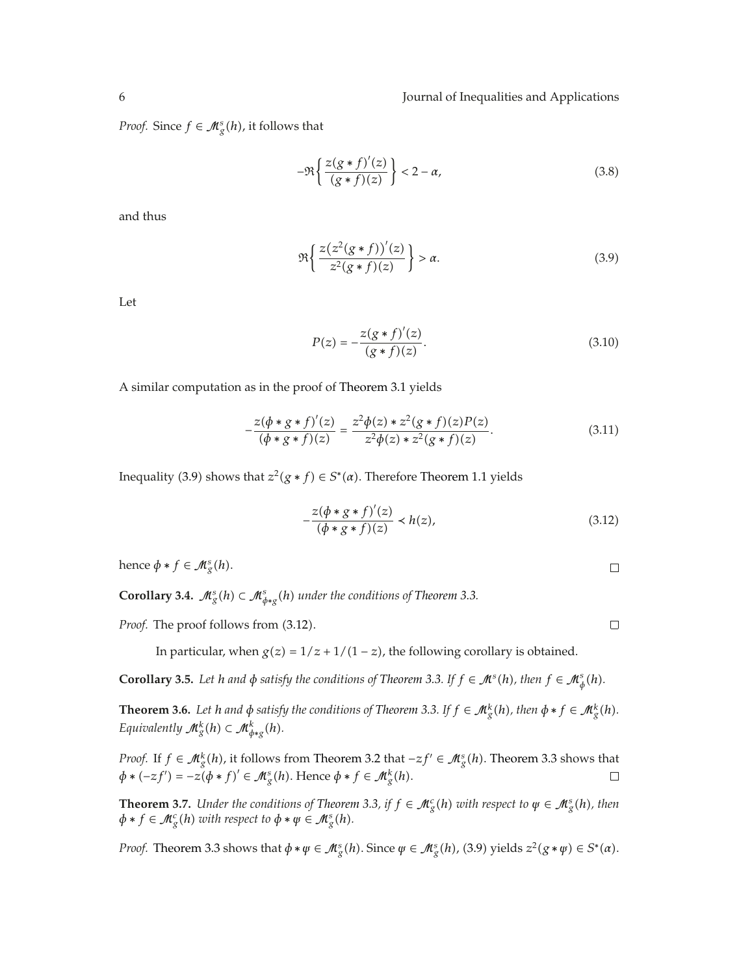*Proof.* Since  $f \in M_g^s(h)$ , it follows that

$$
-\Re\left\{\frac{z(g*f)'(z)}{(g*f)(z)}\right\} < 2 - \alpha,\tag{3.8}
$$

and thus

$$
\Re\left\{\frac{z(z^2(g*f))'(z)}{z^2(g*f)(z)}\right\} > \alpha.
$$
\n(3.9)

Let

$$
P(z) = -\frac{z(g*f)'(z)}{(g*f)(z)}.
$$
\n(3.10)

A similar computation as in the proof of Theorem 3.1 yields

$$
-\frac{z(\phi * g * f)'(z)}{(\phi * g * f)(z)} = \frac{z^2 \phi(z) * z^2 (g * f)(z) P(z)}{z^2 \phi(z) * z^2 (g * f)(z)}.
$$
(3.11)

Inequality (3.9) shows that  $z^2(g * f) \in S^*(\alpha)$ . Therefore Theorem 1.1 yields

$$
-\frac{z(\phi * g * f)'(z)}{(\phi * g * f)(z)} \prec h(z),\tag{3.12}
$$

hence  $\phi * f \in \mathcal{M}_g^s(h)$ .

**Corollary 3.4.**  $\mathcal{M}_{g}^{s}(h) \subset \mathcal{M}_{\phi *g}^{s}(h)$  under the conditions of Theorem 3.3.

*Proof.* The proof follows from  $(3.12)$ .

In particular, when  $g(z) = 1/z + 1/(1 - z)$ , the following corollary is obtained.

**Corollary 3.5.** Let *h* and  $\phi$  satisfy the conditions of Theorem 3.3. If  $f \in \mathcal{M}^s(h)$ , then  $f \in \mathcal{M}^s_{\phi}(h)$ .

**Theorem 3.6.** Let *h* and  $\phi$  satisfy the conditions of Theorem 3.3. If  $f \in M_g^k(h)$ , then  $\phi * f \in M_g^k(h)$ .<br>Favoratively defined by  $g(k) = g(k)$  $E$ *quivalently*  $\mathcal{M}_{g}^{k}(h) \subset \mathcal{M}_{\phi *g}^{k}(h)$ .

*Proof.* If *f* ∈  $\mathcal{M}_{g}^{k}(h)$ , it follows from Theorem 3.2 that  $-zf' \in \mathcal{M}_{g}^{s}(h)$ . Theorem 3.3 shows that  $\phi * (-zf') = -z(\phi * f)' \in \mathcal{M}_g^s(h)$ . Hence  $\phi * f \in \mathcal{M}_g^k(h)$ .

**Theorem 3.7.** *Under the conditions of Theorem 3.3, if*  $f \in M_g^c(h)$  *with respect to*  $\psi \in M_g^s(h)$ *, then*  $\phi * f \in M_c^c(h)$  *zuith respect to*  $\phi * g$  *is (b)*  $\phi * f \in \mathcal{M}_g^c(h)$  with respect to  $\phi * \psi \in \mathcal{M}_g^s(h)$ .

*Proof.* Theorem 3.3 shows that  $\phi * \psi \in M_g^s(h)$ . Since  $\psi \in M_g^s(h)$ , (3.9) yields  $z^2(g * \psi) \in S^*(\alpha)$ .

 $\Box$ 

 $\Box$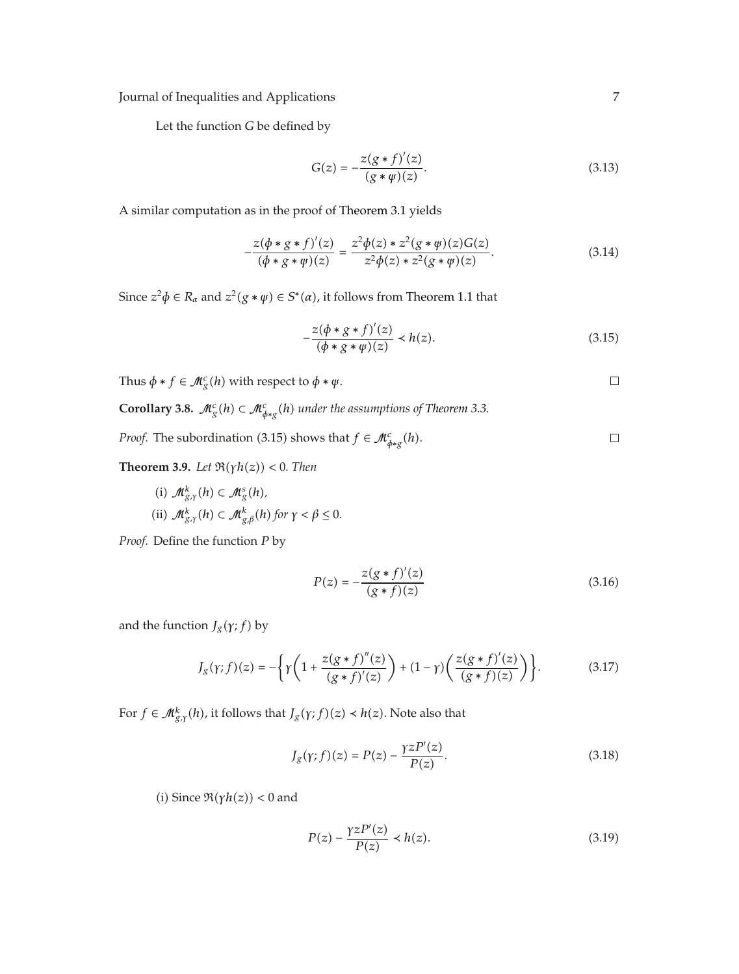Let the function *G* be defined by

$$
G(z) = -\frac{z(g*f)'(z)}{(g*\psi)(z)}.
$$
\n(3.13)

A similar computation as in the proof of Theorem 3.1 yields

$$
-\frac{z(\phi * g * f)'(z)}{(\phi * g * \psi)(z)} = \frac{z^2 \phi(z) * z^2 (g * \psi)(z) G(z)}{z^2 \phi(z) * z^2 (g * \psi)(z)}.
$$
(3.14)

Since  $z^2\phi \in R_\alpha$  and  $z^2(g * \psi) \in S^*(\alpha)$ , it follows from Theorem 1.1 that

$$
-\frac{z(\phi * g * f)'(z)}{(\phi * g * \psi)(z)} \prec h(z).
$$
 (3.15)

Thus  $\phi * f \in \mathcal{M}_g^c(h)$  with respect to  $\phi * \psi$ .

 $\Box$ 

**Corollary 3.8.**  $\mathcal{M}_{g}^{c}(h) \subset \mathcal{M}_{\phi *g}^{c}(h)$  under the assumptions of Theorem 3.3.

*Proof.* The subordination (3.15) shows that  $f \in \mathcal{M}_{\phi *g}^c(h)$ .  $\Box$ 

**Theorem 3.9.** *Let*  $\Re(\gamma h(z)) < 0$ *. Then* 

(i)  $\mathcal{M}_{g,\gamma}^k(h) \subset \mathcal{M}_g^s(h)$ , (ii)  $\mathcal{M}_{g,\gamma}^k(h) \subset \mathcal{M}_{g,\beta}^k(h)$  for  $\gamma < \beta \leq 0$ .

*Proof.* Define the function *P* by

$$
P(z) = -\frac{z(g * f)'(z)}{(g * f)(z)}
$$
(3.16)

and the function  $J_g(\gamma; f)$  by

$$
J_g(\gamma; f)(z) = -\left\{\gamma\left(1 + \frac{z(g*f)''(z)}{(g*f)'(z)}\right) + (1-\gamma)\left(\frac{z(g*f)'(z)}{(g*f)(z)}\right)\right\}.
$$
 (3.17)

For  $f \in M_{g,r}^k(h)$ , it follows that  $J_g(\gamma; f)(z) \prec h(z)$ . Note also that

$$
J_g(\gamma; f)(z) = P(z) - \frac{\gamma z P'(z)}{P(z)}.
$$
\n(3.18)

*(i)* Since  $\Re(\gamma h(z)) < 0$  and

$$
P(z) - \frac{\gamma z P'(z)}{P(z)} < h(z). \tag{3.19}
$$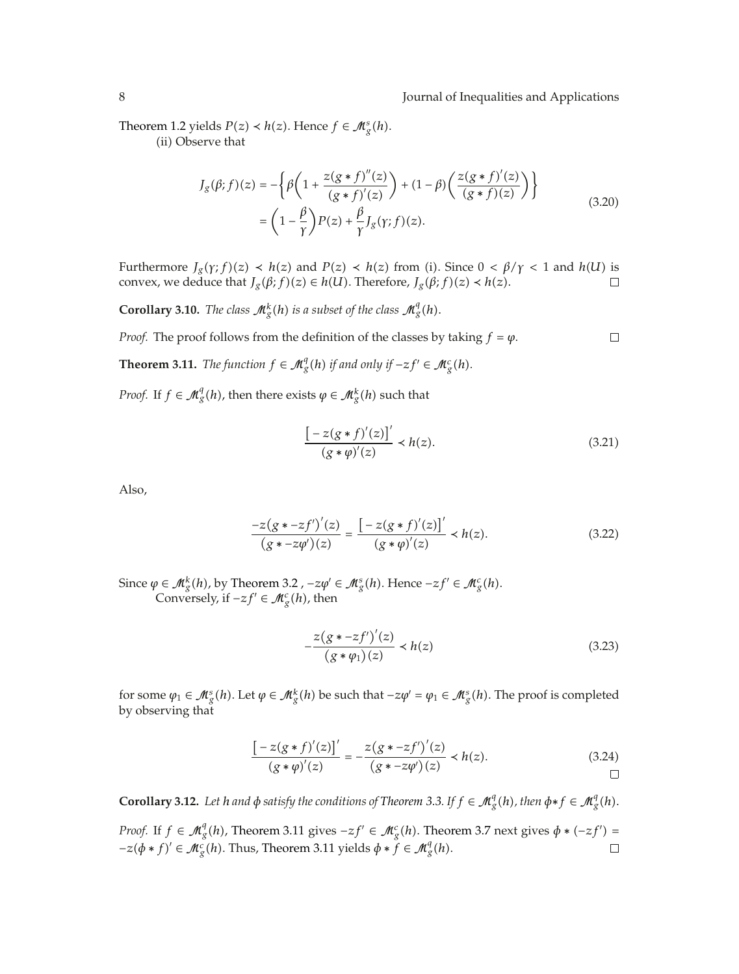Theorem 1.2 yields  $P(z) \prec h(z)$ . Hence  $f \in M_g^s(h)$ .<br>(ii) Observe that (ii) Observe that

$$
J_g(\beta; f)(z) = -\left\{\beta \left(1 + \frac{z(g * f)''(z)}{(g * f)'(z)}\right) + (1 - \beta) \left(\frac{z(g * f)'(z)}{(g * f)(z)}\right)\right\}
$$
  
=  $\left(1 - \frac{\beta}{\gamma}\right) P(z) + \frac{\beta}{\gamma} J_g(\gamma; f)(z).$  (3.20)

Furthermore  $J_g(\gamma; f)(z) \prec h(z)$  and  $P(z) \prec h(z)$  from (i). Since  $0 \prec \beta/\gamma < 1$  and  $h(U)$  is<br>convex we deduce that  $I_g(\beta; f)(z) \in h(U)$ . Therefore,  $I_g(\beta; f)(z) \prec h(z)$ convex, we deduce that  $J_g(\beta; f)(z) \in h(U)$ . Therefore,  $J_g(\beta; f)(z) \prec h(z)$ .

**Corollary 3.10.** *The class*  $\mathcal{M}_{g}^{k}(h)$  *is a subset of the class*  $\mathcal{M}_{g}^{q}(h)$ *.* 

 $\Box$ 

**Theorem 3.11.** *The function*  $f \in M_g^q(h)$  *if and only if*  $-zf' \in M_g^c(h)$ *.* 

*Proof.* The proof follows from the definition of the classes by taking  $f = \varphi$ .

*Proof.* If  $f \in M_g^q(h)$ , then there exists  $\varphi \in M_g^k(h)$  such that

$$
\frac{[-z(g * f)'(z)]'}{(g * \varphi)'(z)} \prec h(z).
$$
 (3.21)

Also,

$$
\frac{-z(g \cdot z f')'(z)}{(g \cdot z \cdot z \varphi')(z)} = \frac{\left[-z(g \cdot f)'(z)\right]'}{(g \cdot \varphi)'(z)} \prec h(z). \tag{3.22}
$$

Since  $\varphi \in M_g^k(h)$ , by Theorem 3.2 ,  $-z\varphi' \in M_g^s(h)$ . Hence  $-zf' \in M_g^c(h)$ .<br>Conversely if  $-zf' \in M_g^c(h)$ , then Conversely, if  $-zf' \in M_g^c(h)$ , then

$$
-\frac{z(g * -zf')'(z)}{(g * \varphi_1)(z)} \prec h(z)
$$
\n(3.23)

for some  $\varphi_1 \in \mathcal{M}_g^s(h)$ . Let  $\varphi \in \mathcal{M}_g^k(h)$  be such that  $-z\varphi' = \varphi_1 \in \mathcal{M}_g^s(h)$ . The proof is completed by observing that by observing that

$$
\frac{[-z(g*f)'(z)]'}{(g*\varphi)'(z)} = -\frac{z(g*-zf')'(z)}{(g*-z\varphi')(z)} \prec h(z).
$$
\n(3.24)

**Corollary 3.12.** Let h and  $\phi$  satisfy the conditions of Theorem 3.3. If  $f \in M_g^q(h)$ , then  $\phi * f \in M_g^q(h)$ .

*Proof.* If  $f \in M_g^q(h)$ , Theorem 3.11 gives  $-zf' \in M_g^c(h)$ . Theorem 3.7 next gives  $\phi * (-zf') =$  $-z(\phi * f)' \in M_g^c(h)$ . Thus, Theorem 3.11 yields  $\phi * f \in M_g^q(h)$ .  $\Box$